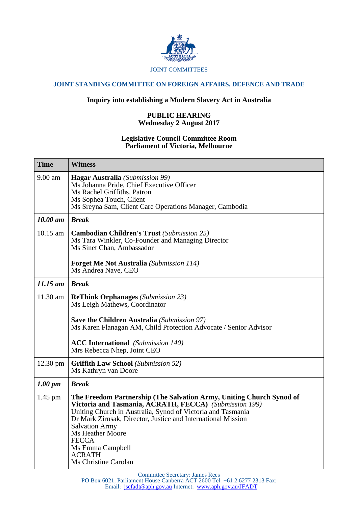

## JOINT COMMITTEES

# **JOINT STANDING COMMITTEE ON FOREIGN AFFAIRS, DEFENCE AND TRADE**

# **Inquiry into establishing a Modern Slavery Act in Australia**

### **PUBLIC HEARING Wednesday 2 August 2017**

#### **Legislative Council Committee Room Parliament of Victoria, Melbourne**

| <b>Time</b>         | <b>Witness</b>                                                                                                                                                                                                                                                                                                                                                                          |
|---------------------|-----------------------------------------------------------------------------------------------------------------------------------------------------------------------------------------------------------------------------------------------------------------------------------------------------------------------------------------------------------------------------------------|
| 9.00 am             | <b>Hagar Australia</b> (Submission 99)<br>Ms Johanna Pride, Chief Executive Officer<br>Ms Rachel Griffiths, Patron<br>Ms Sophea Touch, Client<br>Ms Sreyna Sam, Client Care Operations Manager, Cambodia                                                                                                                                                                                |
| 10.00 am            | <b>Break</b>                                                                                                                                                                                                                                                                                                                                                                            |
| 10.15 am            | <b>Cambodian Children's Trust</b> (Submission 25)<br>Ms Tara Winkler, Co-Founder and Managing Director<br>Ms Sinet Chan, Ambassador<br><b>Forget Me Not Australia</b> (Submission 114)<br>Ms Andrea Nave, CEO                                                                                                                                                                           |
| $11.15$ am          | <b>Break</b>                                                                                                                                                                                                                                                                                                                                                                            |
|                     |                                                                                                                                                                                                                                                                                                                                                                                         |
| 11.30 am            | <b>ReThink Orphanages</b> (Submission 23)<br>Ms Leigh Mathews, Coordinator<br><b>Save the Children Australia</b> (Submission 97)<br>Ms Karen Flanagan AM, Child Protection Advocate / Senior Advisor<br><b>ACC International</b> (Submission 140)<br>Mrs Rebecca Nhep, Joint CEO                                                                                                        |
| 12.30 pm            | <b>Griffith Law School</b> (Submission 52)<br>Ms Kathryn van Doore                                                                                                                                                                                                                                                                                                                      |
| $1.00 \, \text{pm}$ | <b>Break</b>                                                                                                                                                                                                                                                                                                                                                                            |
| $1.45$ pm           | The Freedom Partnership (The Salvation Army, Uniting Church Synod of<br>Victoria and Tasmania, ACRATH, FECCA) (Submission 199)<br>Uniting Church in Australia, Synod of Victoria and Tasmania<br>Dr Mark Zirnsak, Director, Justice and International Mission<br><b>Salvation Army</b><br>Ms Heather Moore<br><b>FECCA</b><br>Ms Emma Campbell<br><b>ACRATH</b><br>Ms Christine Carolan |

Committee Secretary: James Rees

PO Box 6021, Parliament House Canberra ACT 2600 Tel: +61 2 6277 2313 Fax: Email: jscfadt@aph.gov.au Internet: www.aph.gov.au/JFADT